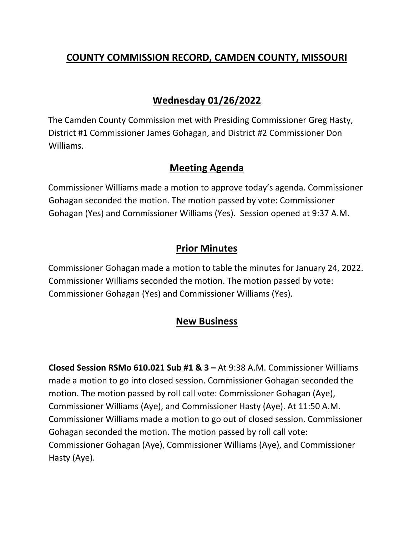# **COUNTY COMMISSION RECORD, CAMDEN COUNTY, MISSOURI**

## **Wednesday 01/26/2022**

The Camden County Commission met with Presiding Commissioner Greg Hasty, District #1 Commissioner James Gohagan, and District #2 Commissioner Don Williams.

#### **Meeting Agenda**

Commissioner Williams made a motion to approve today's agenda. Commissioner Gohagan seconded the motion. The motion passed by vote: Commissioner Gohagan (Yes) and Commissioner Williams (Yes). Session opened at 9:37 A.M.

## **Prior Minutes**

Commissioner Gohagan made a motion to table the minutes for January 24, 2022. Commissioner Williams seconded the motion. The motion passed by vote: Commissioner Gohagan (Yes) and Commissioner Williams (Yes).

## **New Business**

**Closed Session RSMo 610.021 Sub #1 & 3 –** At 9:38 A.M. Commissioner Williams made a motion to go into closed session. Commissioner Gohagan seconded the motion. The motion passed by roll call vote: Commissioner Gohagan (Aye), Commissioner Williams (Aye), and Commissioner Hasty (Aye). At 11:50 A.M. Commissioner Williams made a motion to go out of closed session. Commissioner Gohagan seconded the motion. The motion passed by roll call vote: Commissioner Gohagan (Aye), Commissioner Williams (Aye), and Commissioner Hasty (Aye).